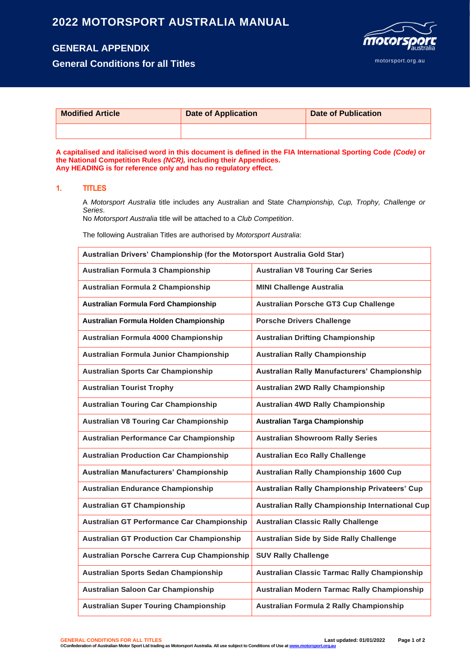# **2022 MOTORSPORT AUSTRALIA MANUAL**

# **GENERAL APPENDIX**

**General Conditions for all Titles**



| <b>Modified Article</b> | <b>Date of Application</b> | <b>Date of Publication</b> |
|-------------------------|----------------------------|----------------------------|
|                         |                            |                            |

**A capitalised and italicised word in this document is defined in the FIA International Sporting Code** *(Code)* **or the National Competition Rules** *(NCR),* **including their Appendices. Any HEADING is for reference only and has no regulatory effect.**

# **1. TITLES**

A *Motorsport Australia* title includes any Australian and State *Championship, Cup, Trophy, Challenge or Series*.

No *Motorsport Australia* title will be attached to a *Club Competition*.

The following Australian Titles are authorised by *Motorsport Australia*:

| Australian Drivers' Championship (for the Motorsport Australia Gold Star) |                                                     |  |
|---------------------------------------------------------------------------|-----------------------------------------------------|--|
| Australian Formula 3 Championship                                         | <b>Australian V8 Touring Car Series</b>             |  |
| Australian Formula 2 Championship                                         | <b>MINI Challenge Australia</b>                     |  |
| Australian Formula Ford Championship                                      | <b>Australian Porsche GT3 Cup Challenge</b>         |  |
| Australian Formula Holden Championship                                    | <b>Porsche Drivers Challenge</b>                    |  |
| Australian Formula 4000 Championship                                      | <b>Australian Drifting Championship</b>             |  |
| Australian Formula Junior Championship                                    | <b>Australian Rally Championship</b>                |  |
| <b>Australian Sports Car Championship</b>                                 | Australian Rally Manufacturers' Championship        |  |
| <b>Australian Tourist Trophy</b>                                          | Australian 2WD Rally Championship                   |  |
| <b>Australian Touring Car Championship</b>                                | <b>Australian 4WD Rally Championship</b>            |  |
| <b>Australian V8 Touring Car Championship</b>                             | <b>Australian Targa Championship</b>                |  |
| Australian Performance Car Championship                                   | <b>Australian Showroom Rally Series</b>             |  |
| <b>Australian Production Car Championship</b>                             | <b>Australian Eco Rally Challenge</b>               |  |
| Australian Manufacturers' Championship                                    | Australian Rally Championship 1600 Cup              |  |
| <b>Australian Endurance Championship</b>                                  | Australian Rally Championship Privateers' Cup       |  |
| <b>Australian GT Championship</b>                                         | Australian Rally Championship International Cup     |  |
| <b>Australian GT Performance Car Championship</b>                         | <b>Australian Classic Rally Challenge</b>           |  |
| <b>Australian GT Production Car Championship</b>                          | Australian Side by Side Rally Challenge             |  |
| Australian Porsche Carrera Cup Championship                               | <b>SUV Rally Challenge</b>                          |  |
| <b>Australian Sports Sedan Championship</b>                               | <b>Australian Classic Tarmac Rally Championship</b> |  |
| <b>Australian Saloon Car Championship</b>                                 | Australian Modern Tarmac Rally Championship         |  |
| <b>Australian Super Touring Championship</b>                              | Australian Formula 2 Rally Championship             |  |